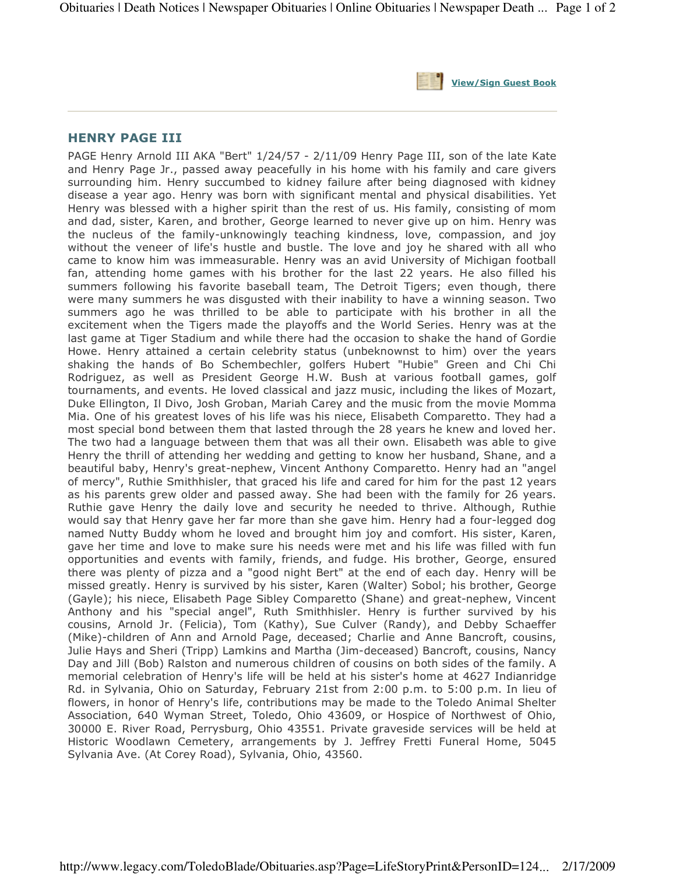

## HENRY PAGE III

PAGE Henry Arnold III AKA "Bert" 1/24/57 - 2/11/09 Henry Page III, son of the late Kate and Henry Page Jr., passed away peacefully in his home with his family and care givers surrounding him. Henry succumbed to kidney failure after being diagnosed with kidney disease a year ago. Henry was born with significant mental and physical disabilities. Yet Henry was blessed with a higher spirit than the rest of us. His family, consisting of mom and dad, sister, Karen, and brother, George learned to never give up on him. Henry was the nucleus of the family-unknowingly teaching kindness, love, compassion, and joy without the veneer of life's hustle and bustle. The love and joy he shared with all who came to know him was immeasurable. Henry was an avid University of Michigan football fan, attending home games with his brother for the last 22 years. He also filled his summers following his favorite baseball team, The Detroit Tigers; even though, there were many summers he was disgusted with their inability to have a winning season. Two summers ago he was thrilled to be able to participate with his brother in all the excitement when the Tigers made the playoffs and the World Series. Henry was at the last game at Tiger Stadium and while there had the occasion to shake the hand of Gordie Howe. Henry attained a certain celebrity status (unbeknownst to him) over the years shaking the hands of Bo Schembechler, golfers Hubert "Hubie" Green and Chi Chi Rodriguez, as well as President George H.W. Bush at various football games, golf tournaments, and events. He loved classical and jazz music, including the likes of Mozart, Duke Ellington, Il Divo, Josh Groban, Mariah Carey and the music from the movie Momma Mia. One of his greatest loves of his life was his niece, Elisabeth Comparetto. They had a most special bond between them that lasted through the 28 years he knew and loved her. The two had a language between them that was all their own. Elisabeth was able to give Henry the thrill of attending her wedding and getting to know her husband, Shane, and a beautiful baby, Henry's great-nephew, Vincent Anthony Comparetto. Henry had an "angel of mercy", Ruthie Smithhisler, that graced his life and cared for him for the past 12 years as his parents grew older and passed away. She had been with the family for 26 years. Ruthie gave Henry the daily love and security he needed to thrive. Although, Ruthie would say that Henry gave her far more than she gave him. Henry had a four-legged dog named Nutty Buddy whom he loved and brought him joy and comfort. His sister, Karen, gave her time and love to make sure his needs were met and his life was filled with fun opportunities and events with family, friends, and fudge. His brother, George, ensured there was plenty of pizza and a "good night Bert" at the end of each day. Henry will be missed greatly. Henry is survived by his sister, Karen (Walter) Sobol; his brother, George (Gayle); his niece, Elisabeth Page Sibley Comparetto (Shane) and great-nephew, Vincent Anthony and his "special angel", Ruth Smithhisler. Henry is further survived by his cousins, Arnold Jr. (Felicia), Tom (Kathy), Sue Culver (Randy), and Debby Schaeffer (Mike)-children of Ann and Arnold Page, deceased; Charlie and Anne Bancroft, cousins, Julie Hays and Sheri (Tripp) Lamkins and Martha (Jim-deceased) Bancroft, cousins, Nancy Day and Jill (Bob) Ralston and numerous children of cousins on both sides of the family. A memorial celebration of Henry's life will be held at his sister's home at 4627 Indianridge Rd. in Sylvania, Ohio on Saturday, February 21st from 2:00 p.m. to 5:00 p.m. In lieu of flowers, in honor of Henry's life, contributions may be made to the Toledo Animal Shelter Association, 640 Wyman Street, Toledo, Ohio 43609, or Hospice of Northwest of Ohio, 30000 E. River Road, Perrysburg, Ohio 43551. Private graveside services will be held at Historic Woodlawn Cemetery, arrangements by J. Jeffrey Fretti Funeral Home, 5045 Sylvania Ave. (At Corey Road), Sylvania, Ohio, 43560.